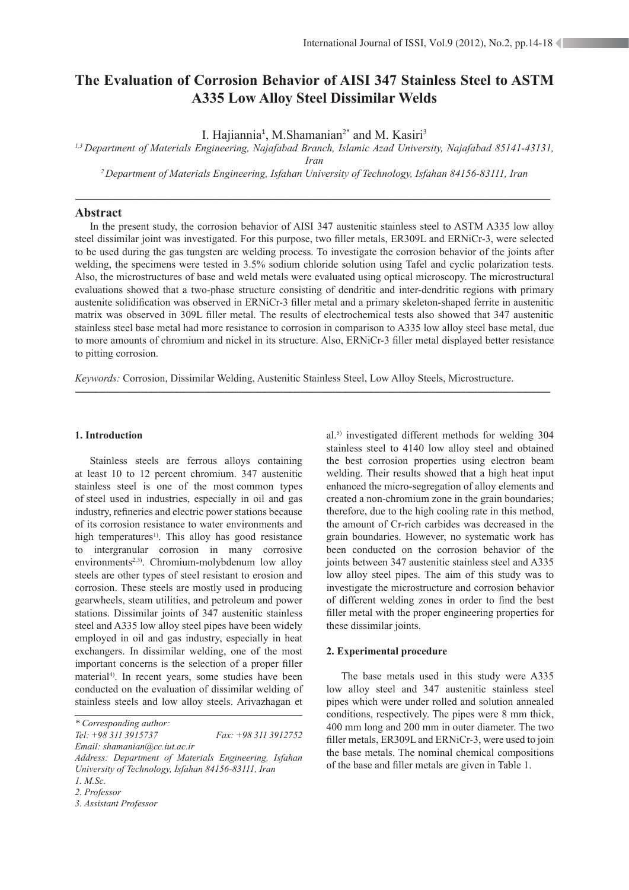# **The Evaluation of Corrosion Behavior of AISI 347 Stainless Steel to ASTM A335 Low Alloy Steel Dissimilar Welds**

I. Hajiannia<sup>1</sup>, M.Shamanian<sup>2\*</sup> and M. Kasiri<sup>3</sup>

*1,3 Department of Materials Engineering, Najafabad Branch, Islamic Azad University, Najafabad 85141-43131,* 

*Iran*

*2 Department of Materials Engineering, Isfahan University of Technology, Isfahan 84156-83111, Iran*

-------------------------------------------------------------------------------------------------------------------------------------------------------------------------------------------------

## **Abstract**

In the present study, the corrosion behavior of AISI 347 austenitic stainless steel to ASTM A335 low alloy steel dissimilar joint was investigated. For this purpose, two filler metals, ER309L and ERNiCr-3, were selected to be used during the gas tungsten arc welding process. To investigate the corrosion behavior of the joints after welding, the specimens were tested in 3.5% sodium chloride solution using Tafel and cyclic polarization tests. Also, the microstructures of base and weld metals were evaluated using optical microscopy. The microstructural evaluations showed that a two-phase structure consisting of dendritic and inter-dendritic regions with primary austenite solidification was observed in ERNiCr-3 filler metal and a primary skeleton-shaped ferrite in austenitic matrix was observed in 309L filler metal. The results of electrochemical tests also showed that 347 austenitic stainless steel base metal had more resistance to corrosion in comparison to A335 low alloy steel base metal, due to more amounts of chromium and nickel in its structure. Also, ERNiCr-3 filler metal displayed better resistance to pitting corrosion.

*Keywords:* Corrosion, Dissimilar Welding, Austenitic Stainless Steel, Low Alloy Steels, Microstructure.

-------------------------------------------------------------------------------------------------------------------------------------------------------------------------------------------------

#### 1. Introduction

Stainless steels are ferrous alloys containing at least 10 to 12 percent chromium. 347 austenitic stainless steel is one of the most common types of steel used in industries, especially in oil and gas industry, refineries and electric power stations because of its corrosion resistance to water environments and high temperatures<sup>1)</sup>. This alloy has good resistance to intergranular corrosion in many corrosive environments<sup>2,3)</sup>. Chromium-molybdenum low alloy steels are other types of steel resistant to erosion and corrosion. These steels are mostly used in producing gearwheels, steam utilities, and petroleum and power stations. Dissimilar joints of 347 austenitic stainless steel and A335 low alloy steel pipes have been widely employed in oil and gas industry, especially in heat exchangers. In dissimilar welding, one of the most important concerns is the selection of a proper filler material<sup>4)</sup>. In recent years, some studies have been conducted on the evaluation of dissimilar welding of stainless steels and low alloy steels. Arivazhagan et

*\* Corresponding author: Tel: +98 311 3915737 Fax: +98 311 3912752 Email: shamanian@cc.iut.ac.ir*

al.5) investigated different methods for welding 304 stainless steel to 4140 low alloy steel and obtained the best corrosion properties using electron beam welding. Their results showed that a high heat input enhanced the micro-segregation of alloy elements and created a non-chromium zone in the grain boundaries; therefore, due to the high cooling rate in this method, the amount of Cr-rich carbides was decreased in the grain boundaries. However, no systematic work has been conducted on the corrosion behavior of the joints between 347 austenitic stainless steel and A335 low alloy steel pipes. The aim of this study was to investigate the microstructure and corrosion behavior of different welding zones in order to find the best filler metal with the proper engineering properties for these dissimilar joints.

#### **2. Experimental procedure**

The base metals used in this study were A335 low alloy steel and 347 austenitic stainless steel pipes which were under rolled and solution annealed conditions, respectively. The pipes were 8 mm thick, 400 mm long and 200 mm in outer diameter. The two filler metals, ER309L and ERNiCr-3, were used to join the base metals. The nominal chemical compositions of the base and filler metals are given in Table 1.

*Address: Department of Materials Engineering, Isfahan University of Technology, Isfahan 84156-83111, Iran 1. M.Sc.*

*<sup>2.</sup> Professor*

*<sup>3.</sup> Assistant Professor*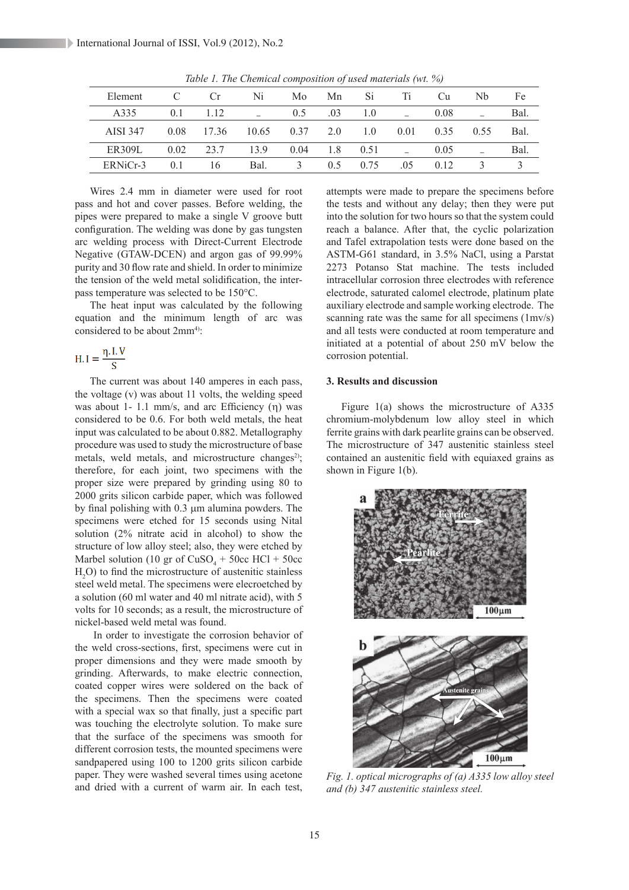| Element       |                | Cr.   | Ni    | Mo.  | Mn  | Si   | Ti   | Сu   | Nb   | Fe   |
|---------------|----------------|-------|-------|------|-----|------|------|------|------|------|
| A335          | 0.1            | 1.12  |       | 0.5  | .03 | 1.0  |      | 0.08 |      | Bal. |
| AISI 347      | 0.08           | 17.36 | 10.65 | 0.37 | 2.0 | 1.0  | 0.01 | 0.35 | 0.55 | Bal. |
| <b>ER309L</b> | 0.02           | 23.7  | 139   | 0.04 | 1.8 | 0.51 |      | 0.05 |      | Bal. |
| ERNiCr-3      | 0 <sub>1</sub> | 16    | Bal.  | 3    | 0.5 | 0.75 | .05  | 012  |      |      |

*Table 1. The Chemical composition of used materials (wt. %)*

Wires 2.4 mm in diameter were used for root pass and hot and cover passes. Before welding, the pipes were prepared to make a single V groove butt configuration. The welding was done by gas tungsten arc welding process with Direct-Current Electrode Negative (GTAW-DCEN) and argon gas of 99.99% purity and 30 flow rate and shield. In order to minimize the tension of the weld metal solidification, the interpass temperature was selected to be 150°C.

The heat input was calculated by the following equation and the minimum length of arc was considered to be about  $2mm<sup>4</sup>$ :

$$
H.I = \frac{\eta.I.V}{S}
$$

The current was about 140 amperes in each pass, the voltage (v) was about 11 volts, the welding speed was about 1- 1.1 mm/s, and arc Efficiency  $(\eta)$  was considered to be 0.6. For both weld metals, the heat input was calculated to be about 0.882. Metallography procedure was used to study the microstructure of base metals, weld metals, and microstructure changes<sup>2)</sup>; therefore, for each joint, two specimens with the proper size were prepared by grinding using 80 to 2000 grits silicon carbide paper, which was followed by final polishing with  $0.3 \mu$ m alumina powders. The specimens were etched for 15 seconds using Nital solution (2% nitrate acid in alcohol) to show the structure of low alloy steel; also, they were etched by Marbel solution (10 gr of  $CuSO<sub>4</sub> + 50cc$  HCl + 50cc  $H<sub>2</sub>O$ ) to find the microstructure of austenitic stainless steel weld metal. The specimens were elecroetched by a solution (60 ml water and 40 ml nitrate acid), with 5 volts for 10 seconds; as a result, the microstructure of nickel-based weld metal was found.

 In order to investigate the corrosion behavior of the weld cross-sections, first, specimens were cut in proper dimensions and they were made smooth by grinding. Afterwards, to make electric connection, coated copper wires were soldered on the back of the specimens. Then the specimens were coated with a special wax so that finally, just a specific part was touching the electrolyte solution. To make sure that the surface of the specimens was smooth for different corrosion tests, the mounted specimens were sandpapered using 100 to 1200 grits silicon carbide paper. They were washed several times using acetone and dried with a current of warm air. In each test,

attempts were made to prepare the specimens before the tests and without any delay; then they were put into the solution for two hours so that the system could reach a balance. After that, the cyclic polarization and Tafel extrapolation tests were done based on the ASTM-G61 standard, in 3.5% NaCl, using a Parstat 2273 Potanso Stat machine. The tests included intracellular corrosion three electrodes with reference electrode, saturated calomel electrode, platinum plate auxiliary electrode and sample working electrode. The scanning rate was the same for all specimens (1mv/s) and all tests were conducted at room temperature and initiated at a potential of about 250 mV below the corrosion potential.

### **3. Results and discussion**

Figure 1(a) shows the microstructure of A335 chromium-molybdenum low alloy steel in which ferrite grains with dark pearlite grains can be observed. The microstructure of 347 austenitic stainless steel contained an austenitic field with equiaxed grains as shown in Figure 1(b).



*Fig. 1. optical micrographs of (a) A335 low alloy steel and (b) 347 austenitic stainless steel.*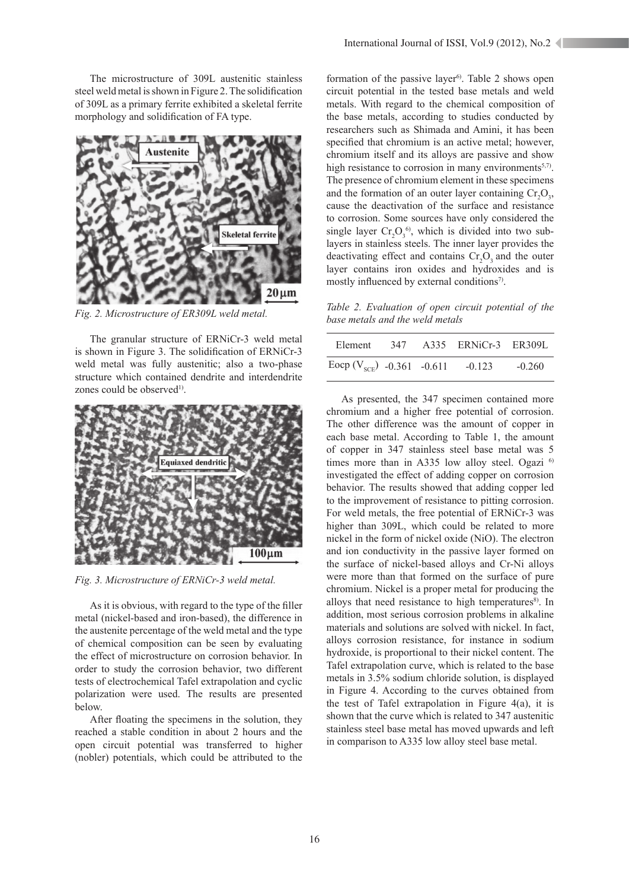The microstructure of 309L austenitic stainless steel weld metal is shown in Figure 2. The solidification of 309L as a primary ferrite exhibited a skeletal ferrite morphology and solidification of FA type.



*Fig. 2. Microstructure of ER309L weld metal.*

The granular structure of ERNiCr-3 weld metal is shown in Figure 3. The solidification of ERNiCr-3 weld metal was fully austenitic; also a two-phase structure which contained dendrite and interdendrite zones could be observed<sup>1)</sup>



*Fig. 3. Microstructure of ERNiCr-3 weld metal.*

As it is obvious, with regard to the type of the filler metal (nickel-based and iron-based), the difference in the austenite percentage of the weld metal and the type of chemical composition can be seen by evaluating the effect of microstructure on corrosion behavior. In order to study the corrosion behavior, two different tests of electrochemical Tafel extrapolation and cyclic polarization were used. The results are presented below.

After floating the specimens in the solution, they reached a stable condition in about 2 hours and the open circuit potential was transferred to higher (nobler) potentials, which could be attributed to the

formation of the passive layer<sup>6</sup>. Table 2 shows open circuit potential in the tested base metals and weld metals. With regard to the chemical composition of the base metals, according to studies conducted by researchers such as Shimada and Amini, it has been specified that chromium is an active metal; however, chromium itself and its alloys are passive and show high resistance to corrosion in many environments<sup>5,7)</sup>. The presence of chromium element in these specimens and the formation of an outer layer containing  $Cr_2O_3$ , cause the deactivation of the surface and resistance to corrosion. Some sources have only considered the single layer  $Cr_2O_3^{\{6\}}$ , which is divided into two sublayers in stainless steels. The inner layer provides the deactivating effect and contains  $Cr_2O_3$  and the outer layer contains iron oxides and hydroxides and is mostly influenced by external conditions<sup>7)</sup>.

*Table 2. Evaluation of open circuit potential of the base metals and the weld metals*

|                                       |  | Element 347 A335 ERNiCr-3 ER309L |          |
|---------------------------------------|--|----------------------------------|----------|
| Eocp $(V_{SCE})$ -0.361 -0.611 -0.123 |  |                                  | $-0.260$ |

As presented, the 347 specimen contained more chromium and a higher free potential of corrosion. The other difference was the amount of copper in each base metal. According to Table 1, the amount of copper in 347 stainless steel base metal was 5 times more than in A335 low alloy steel. Ogazi  $6$ investigated the effect of adding copper on corrosion behavior. The results showed that adding copper led to the improvement of resistance to pitting corrosion. For weld metals, the free potential of ERNiCr-3 was higher than 309L, which could be related to more nickel in the form of nickel oxide (NiO). The electron and ion conductivity in the passive layer formed on the surface of nickel-based alloys and Cr-Ni alloys were more than that formed on the surface of pure chromium. Nickel is a proper metal for producing the alloys that need resistance to high temperatures $\delta$ . In addition, most serious corrosion problems in alkaline materials and solutions are solved with nickel. In fact, alloys corrosion resistance, for instance in sodium hydroxide, is proportional to their nickel content. The Tafel extrapolation curve, which is related to the base metals in 3.5% sodium chloride solution, is displayed in Figure 4. According to the curves obtained from the test of Tafel extrapolation in Figure 4(a), it is shown that the curve which is related to 347 austenitic stainless steel base metal has moved upwards and left in comparison to A335 low alloy steel base metal.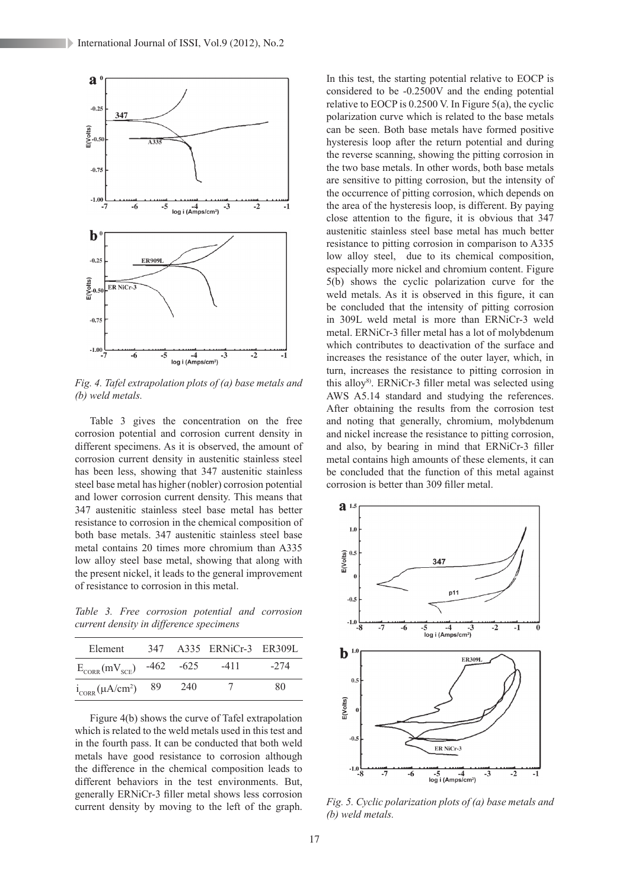International Journal of ISSI, Vol.9 (2012), No.2



*Fig. 4. Tafel extrapolation plots of (a) base metals and (b) weld metals.*

Table 3 gives the concentration on the free corrosion potential and corrosion current density in different specimens. As it is observed, the amount of corrosion current density in austenitic stainless steel has been less, showing that 347 austenitic stainless steel base metal has higher (nobler) corrosion potential and lower corrosion current density. This means that 347 austenitic stainless steel base metal has better resistance to corrosion in the chemical composition of both base metals. 347 austenitic stainless steel base metal contains 20 times more chromium than A335 low alloy steel base metal, showing that along with the present nickel, it leads to the general improvement of resistance to corrosion in this metal.

*Table 3. Free corrosion potential and corrosion current density in difference specimens*

| Element                        |                 | 347 A335 ERNiCr-3 ER309L |        |
|--------------------------------|-----------------|--------------------------|--------|
| $E_{CORR}(mV_{SCF})$ -462 -625 |                 | $-411$                   | $-274$ |
| $i_{CORR}(\mu A/cm^2)$ 89      | 24 <sub>0</sub> | $\frac{1}{2}$            | 80     |

Figure 4(b) shows the curve of Tafel extrapolation which is related to the weld metals used in this test and in the fourth pass. It can be conducted that both weld metals have good resistance to corrosion although the difference in the chemical composition leads to different behaviors in the test environments. But, generally ERNiCr-3 filler metal shows less corrosion current density by moving to the left of the graph.

In this test, the starting potential relative to EOCP is considered to be -0.2500V and the ending potential relative to EOCP is 0.2500 V. In Figure 5(a), the cyclic polarization curve which is related to the base metals can be seen. Both base metals have formed positive hysteresis loop after the return potential and during the reverse scanning, showing the pitting corrosion in the two base metals. In other words, both base metals are sensitive to pitting corrosion, but the intensity of the occurrence of pitting corrosion, which depends on the area of the hysteresis loop, is different. By paying close attention to the figure, it is obvious that 347 austenitic stainless steel base metal has much better resistance to pitting corrosion in comparison to A335 low alloy steel, due to its chemical composition, especially more nickel and chromium content. Figure 5(b) shows the cyclic polarization curve for the weld metals. As it is observed in this figure, it can be concluded that the intensity of pitting corrosion in 309L weld metal is more than ERNiCr-3 weld metal. ERNiCr-3 filler metal has a lot of molybdenum which contributes to deactivation of the surface and increases the resistance of the outer layer, which, in turn, increases the resistance to pitting corrosion in this alloy<sup>8)</sup>. ERNiCr-3 filler metal was selected using AWS A5.14 standard and studying the references. After obtaining the results from the corrosion test and noting that generally, chromium, molybdenum and nickel increase the resistance to pitting corrosion, and also, by bearing in mind that ERNiCr-3 filler metal contains high amounts of these elements, it can be concluded that the function of this metal against corrosion is better than 309 filler metal.



*Fig. 5. Cyclic polarization plots of (a) base metals and (b) weld metals.*